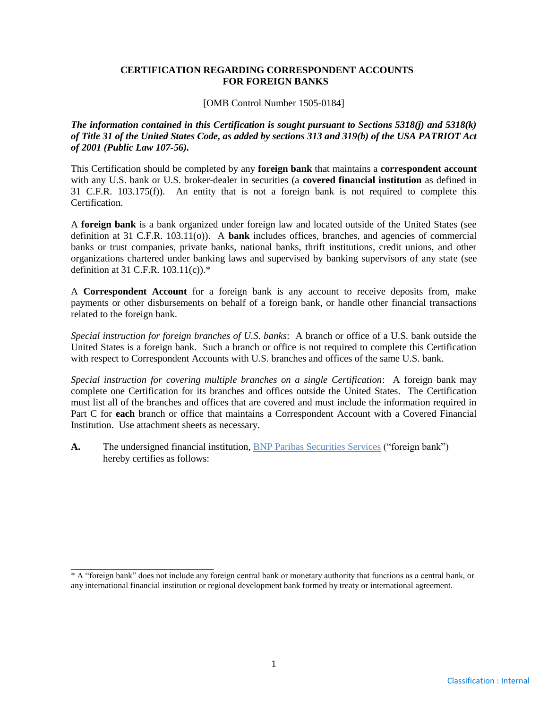#### **CERTIFICATION REGARDING CORRESPONDENT ACCOUNTS FOR FOREIGN BANKS**

[OMB Control Number 1505-0184]

*The information contained in this Certification is sought pursuant to Sections 5318(j) and 5318(k) of Title 31 of the United States Code, as added by sections 313 and 319(b) of the USA PATRIOT Act of 2001 (Public Law 107-56).*

This Certification should be completed by any **foreign bank** that maintains a **correspondent account** with any U.S. bank or U.S. broker-dealer in securities (a **covered financial institution** as defined in 31 C.F.R. 103.175(f)). An entity that is not a foreign bank is not required to complete this Certification.

A **foreign bank** is a bank organized under foreign law and located outside of the United States (see definition at 31 C.F.R. 103.11(o)). A **bank** includes offices, branches, and agencies of commercial banks or trust companies, private banks, national banks, thrift institutions, credit unions, and other organizations chartered under banking laws and supervised by banking supervisors of any state (see definition at 31 C.F.R. 103.11(c)).\*

A **Correspondent Account** for a foreign bank is any account to receive deposits from, make payments or other disbursements on behalf of a foreign bank, or handle other financial transactions related to the foreign bank.

*Special instruction for foreign branches of U.S. banks*: A branch or office of a U.S. bank outside the United States is a foreign bank. Such a branch or office is not required to complete this Certification with respect to Correspondent Accounts with U.S. branches and offices of the same U.S. bank.

*Special instruction for covering multiple branches on a single Certification*: A foreign bank may complete one Certification for its branches and offices outside the United States. The Certification must list all of the branches and offices that are covered and must include the information required in Part C for **each** branch or office that maintains a Correspondent Account with a Covered Financial Institution. Use attachment sheets as necessary.

A. The undersigned financial institution, BNP Paribas Securities Services ("foreign bank") hereby certifies as follows:

\_\_\_\_\_\_\_\_\_\_\_\_\_\_\_\_\_\_\_\_\_\_\_\_\_\_\_\_\_

<sup>\*</sup> A "foreign bank" does not include any foreign central bank or monetary authority that functions as a central bank, or any international financial institution or regional development bank formed by treaty or international agreement.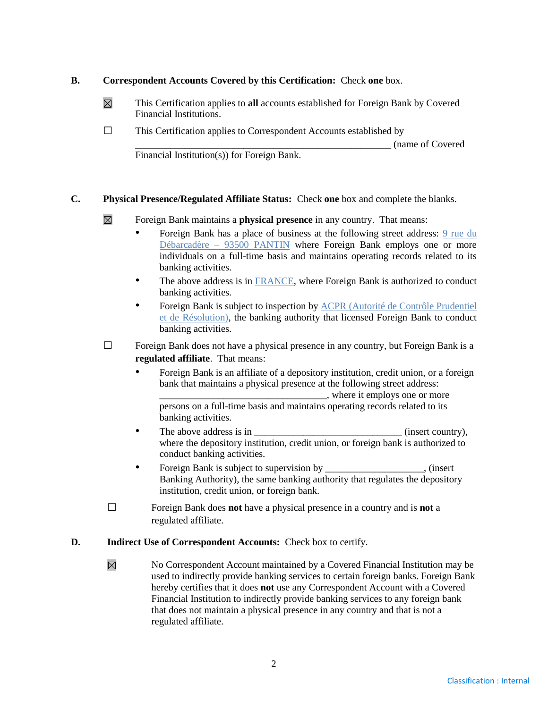## **B. Correspondent Accounts Covered by this Certification:** Check **one** box.

- $\boxtimes$ This Certification applies to **all** accounts established for Foreign Bank by Covered Financial Institutions.
- $\square$  This Certification applies to Correspondent Accounts established by

\_\_\_\_\_\_\_\_\_\_\_\_\_\_\_\_\_\_\_\_\_\_\_\_\_\_\_\_\_\_\_\_\_\_\_\_\_\_\_\_\_\_\_\_\_\_\_\_\_\_\_\_ (name of Covered

Financial Institution(s)) for Foreign Bank.

# **C. Physical Presence/Regulated Affiliate Status:** Check **one** box and complete the blanks.

- $\boxtimes$ Foreign Bank maintains a **physical presence** in any country. That means:
	- Foreign Bank has a place of business at the following street address: 9 rue du Débarcadère – 93500 PANTIN where Foreign Bank employs one or more individuals on a full-time basis and maintains operating records related to its banking activities.
	- The above address is in FRANCE, where Foreign Bank is authorized to conduct banking activities.
	- Foreign Bank is subject to inspection by ACPR (Autorité de Contrôle Prudentiel et de Résolution), the banking authority that licensed Foreign Bank to conduct banking activities.
- $\Box$  Foreign Bank does not have a physical presence in any country, but Foreign Bank is a **regulated affiliate**. That means:
	- Foreign Bank is an affiliate of a depository institution, credit union, or a foreign bank that maintains a physical presence at the following street address:

**\_\_\_\_\_\_\_\_\_\_\_\_\_\_\_\_\_\_\_\_\_\_\_\_\_\_\_\_\_\_\_\_\_\_**, where it employs one or more persons on a full-time basis and maintains operating records related to its banking activities.

- The above address is in \_\_\_\_\_\_\_\_\_\_\_\_\_\_\_\_\_\_\_\_\_\_\_\_\_\_\_\_\_\_ (insert country), where the depository institution, credit union, or foreign bank is authorized to conduct banking activities.
- Foreign Bank is subject to supervision by  $\blacksquare$ , (insert Banking Authority), the same banking authority that regulates the depository institution, credit union, or foreign bank.
- □ Foreign Bank does **not** have a physical presence in a country and is **not** <sup>a</sup> regulated affiliate.

## **D. Indirect Use of Correspondent Accounts:** Check box to certify.

 $\boxtimes$ No Correspondent Account maintained by a Covered Financial Institution may be used to indirectly provide banking services to certain foreign banks. Foreign Bank hereby certifies that it does **not** use any Correspondent Account with a Covered Financial Institution to indirectly provide banking services to any foreign bank that does not maintain a physical presence in any country and that is not a regulated affiliate.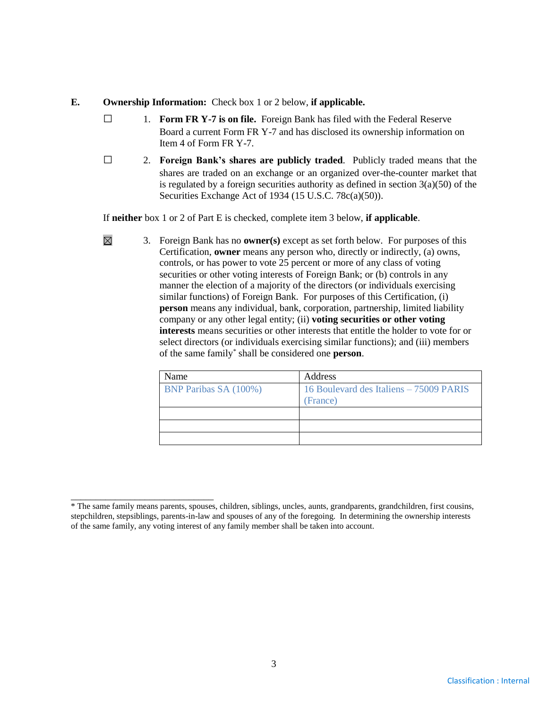#### **E. Ownership Information:** Check box 1 or 2 below, **if applicable.**

 $\boxtimes$ 

- □ 1. **Form FR Y-7 is on file.** Foreign Bank has filed with the Federal Reserve Board a current Form FR Y-7 and has disclosed its ownership information on Item 4 of Form FR Y-7.
- □ 2. **Foreign Bank's shares are publicly traded**. Publicly traded means that the shares are traded on an exchange or an organized over-the-counter market that is regulated by a foreign securities authority as defined in section  $3(a)(50)$  of the Securities Exchange Act of 1934 (15 U.S.C. 78c(a)(50)).

If **neither** box 1 or 2 of Part E is checked, complete item 3 below, **if applicable**.

<sup>3.</sup> Foreign Bank has no **owner(s)** except as set forth below. For purposes of this Certification, **owner** means any person who, directly or indirectly, (a) owns, controls, or has power to vote 25 percent or more of any class of voting securities or other voting interests of Foreign Bank; or (b) controls in any manner the election of a majority of the directors (or individuals exercising similar functions) of Foreign Bank. For purposes of this Certification, (i) **person** means any individual, bank, corporation, partnership, limited liability company or any other legal entity; (ii) **voting securities or other voting interests** means securities or other interests that entitle the holder to vote for or select directors (or individuals exercising similar functions); and (iii) members of the same family\* shall be considered one **person**.

| Name                         | <b>Address</b>                                      |
|------------------------------|-----------------------------------------------------|
| <b>BNP Paribas SA (100%)</b> | 16 Boulevard des Italiens - 75009 PARIS<br>(France) |
|                              |                                                     |
|                              |                                                     |
|                              |                                                     |

\_\_\_\_\_\_\_\_\_\_\_\_\_\_\_\_\_\_\_\_\_\_\_\_\_\_\_\_\_ \* The same family means parents, spouses, children, siblings, uncles, aunts, grandparents, grandchildren, first cousins, stepchildren, stepsiblings, parents-in-law and spouses of any of the foregoing. In determining the ownership interests of the same family, any voting interest of any family member shall be taken into account.